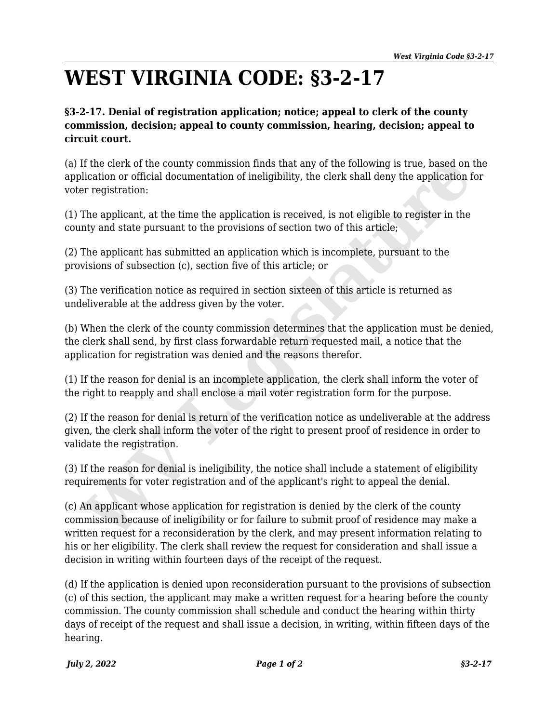## **WEST VIRGINIA CODE: §3-2-17**

## **§3-2-17. Denial of registration application; notice; appeal to clerk of the county commission, decision; appeal to county commission, hearing, decision; appeal to circuit court.**

(a) If the clerk of the county commission finds that any of the following is true, based on the application or official documentation of ineligibility, the clerk shall deny the application for voter registration:

(1) The applicant, at the time the application is received, is not eligible to register in the county and state pursuant to the provisions of section two of this article;

(2) The applicant has submitted an application which is incomplete, pursuant to the provisions of subsection (c), section five of this article; or

(3) The verification notice as required in section sixteen of this article is returned as undeliverable at the address given by the voter.

(b) When the clerk of the county commission determines that the application must be denied, the clerk shall send, by first class forwardable return requested mail, a notice that the application for registration was denied and the reasons therefor.

(1) If the reason for denial is an incomplete application, the clerk shall inform the voter of the right to reapply and shall enclose a mail voter registration form for the purpose.

(2) If the reason for denial is return of the verification notice as undeliverable at the address given, the clerk shall inform the voter of the right to present proof of residence in order to validate the registration.

(3) If the reason for denial is ineligibility, the notice shall include a statement of eligibility requirements for voter registration and of the applicant's right to appeal the denial.

(c) An applicant whose application for registration is denied by the clerk of the county commission because of ineligibility or for failure to submit proof of residence may make a written request for a reconsideration by the clerk, and may present information relating to his or her eligibility. The clerk shall review the request for consideration and shall issue a decision in writing within fourteen days of the receipt of the request. If the clerk of the county commission finds that any of the following is true, based on<br>lictation or official documentation of ineligibility, the clerk shall deny the application for registration:<br>The applicant, at the tim

(d) If the application is denied upon reconsideration pursuant to the provisions of subsection (c) of this section, the applicant may make a written request for a hearing before the county commission. The county commission shall schedule and conduct the hearing within thirty days of receipt of the request and shall issue a decision, in writing, within fifteen days of the hearing.